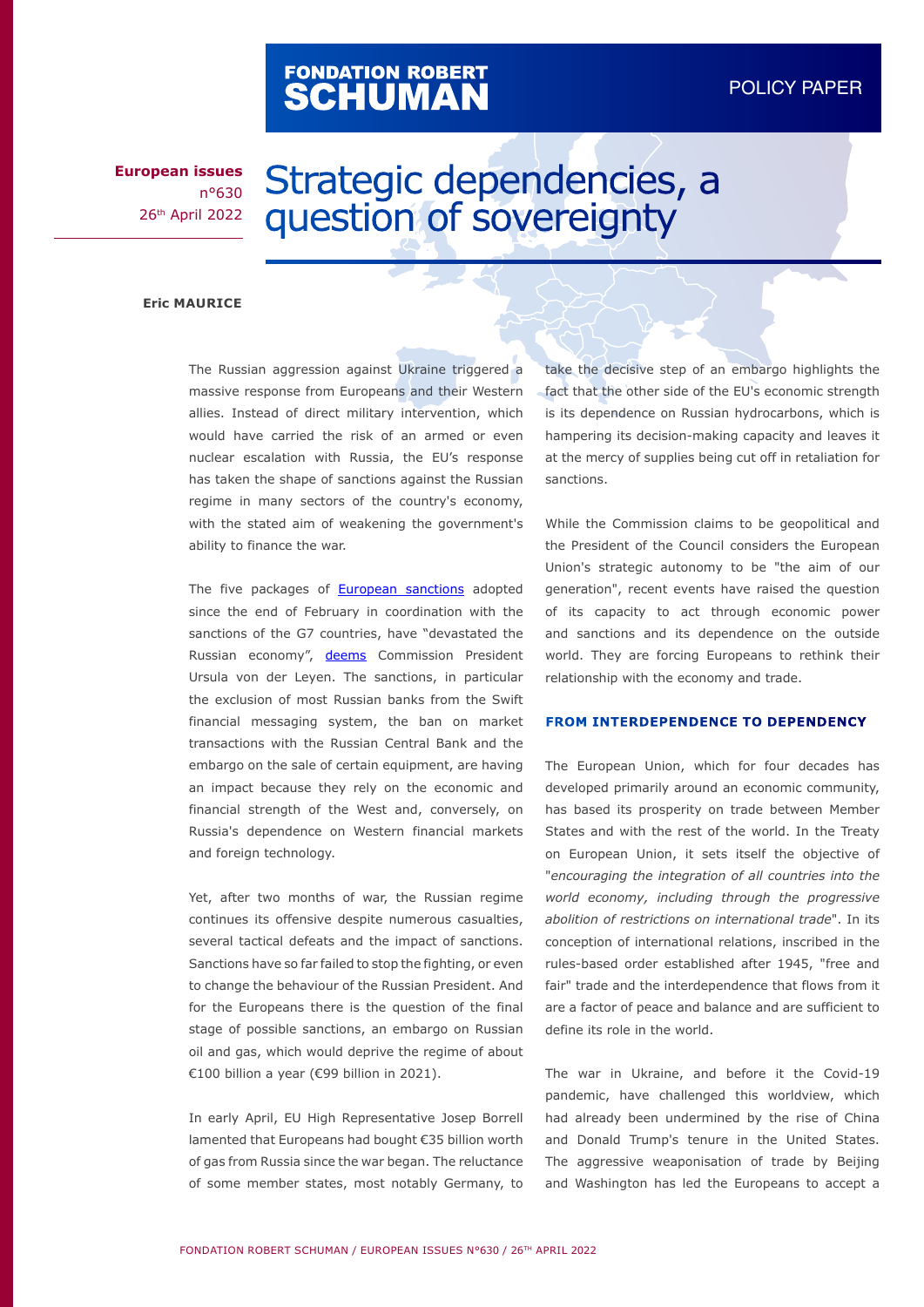# FONDATION ROBERT<br>**SCHUMAN**

#### DADED POLICY PAPER

**European issues** n°630 26th April 2022

## Strategic dependencies, a question of sovereignty

#### **Eric MAURICE**

The Russian aggression against Ukraine triggered a massive response from Europeans and their Western allies. Instead of direct military intervention, which would have carried the risk of an armed or even nuclear escalation with Russia, the EU's response has taken the shape of sanctions against the Russian regime in many sectors of the country's economy, with the stated aim of weakening the government's ability to finance the war.

The five packages of [European sanctions](https://www.consilium.europa.eu/en/policies/sanctions/restrictive-measures-against-russia-over-ukraine/) adopted since the end of February in coordination with the sanctions of the G7 countries, have "devastated the Russian economy", [deems](https://www.publicsenat.fr/article/politique/ursula-von-der-leyen-nos-sanctions-ont-devaste-l-economie-russe-198833) Commission President Ursula von der Leyen. The sanctions, in particular the exclusion of most Russian banks from the Swift financial messaging system, the ban on market transactions with the Russian Central Bank and the embargo on the sale of certain equipment, are having an impact because they rely on the economic and financial strength of the West and, conversely, on Russia's dependence on Western financial markets and foreign technology.

Yet, after two months of war, the Russian regime continues its offensive despite numerous casualties, several tactical defeats and the impact of sanctions. Sanctions have so far failed to stop the fighting, or even to change the behaviour of the Russian President. And for the Europeans there is the question of the final stage of possible sanctions, an embargo on Russian oil and gas, which would deprive the regime of about €100 billion a year (€99 billion in 2021).

In early April, EU High Representative Josep Borrell lamented that Europeans had bought €35 billion worth of gas from Russia since the war began. The reluctance of some member states, most notably Germany, to

take the decisive step of an embargo highlights the fact that the other side of the EU's economic strength is its dependence on Russian hydrocarbons, which is hampering its decision-making capacity and leaves it at the mercy of supplies being cut off in retaliation for sanctions.

While the Commission claims to be geopolitical and the President of the Council considers the European Union's strategic autonomy to be "the aim of our generation", recent events have raised the question of its capacity to act through economic power and sanctions and its dependence on the outside world. They are forcing Europeans to rethink their relationship with the economy and trade.

#### **FROM INTERDEPENDENCE TO DEPENDENCY**

The European Union, which for four decades has developed primarily around an economic community, has based its prosperity on trade between Member States and with the rest of the world. In the Treaty on European Union, it sets itself the objective of "*encouraging the integration of all countries into the world economy, including through the progressive abolition of restrictions on international trade*". In its conception of international relations, inscribed in the rules-based order established after 1945, "free and fair" trade and the interdependence that flows from it are a factor of peace and balance and are sufficient to define its role in the world.

The war in Ukraine, and before it the Covid-19 pandemic, have challenged this worldview, which had already been undermined by the rise of China and Donald Trump's tenure in the United States. The aggressive weaponisation of trade by Beijing and Washington has led the Europeans to accept a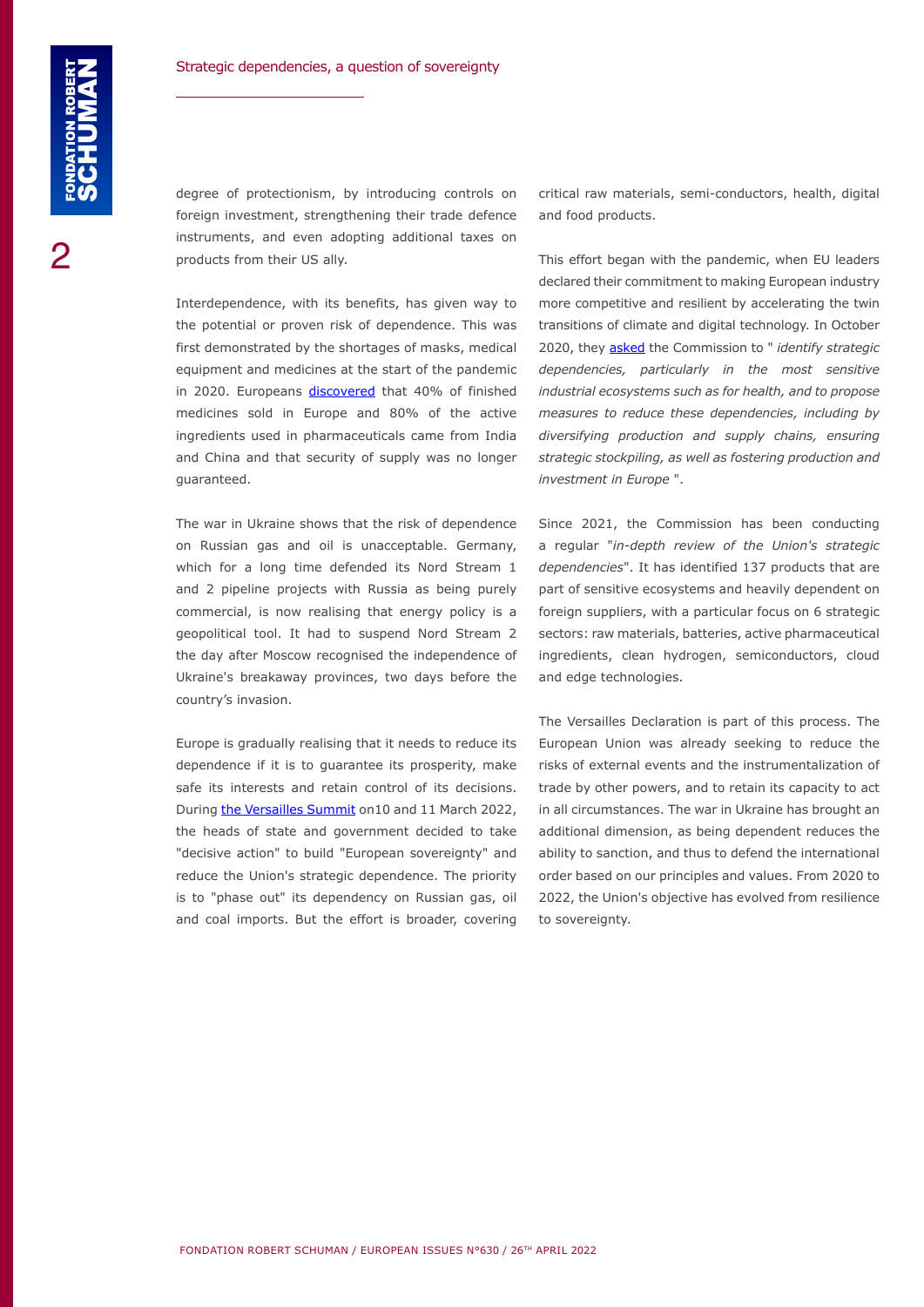degree of protectionism, by introducing controls on foreign investment, strengthening their trade defence instruments, and even adopting additional taxes on products from their US ally.

Interdependence, with its benefits, has given way to the potential or proven risk of dependence. This was first demonstrated by the shortages of masks, medical equipment and medicines at the start of the pandemic in 2020. Europeans [discovered](https://www.europarl.europa.eu/news/en/headlines/society/20200709STO83006/medicine-shortages-in-the-eu-causes-and-solutions) that 40% of finished medicines sold in Europe and 80% of the active ingredients used in pharmaceuticals came from India and China and that security of supply was no longer guaranteed.

The war in Ukraine shows that the risk of dependence on Russian gas and oil is unacceptable. Germany, which for a long time defended its Nord Stream 1 and 2 pipeline projects with Russia as being purely commercial, is now realising that energy policy is a geopolitical tool. It had to suspend Nord Stream 2 the day after Moscow recognised the independence of Ukraine's breakaway provinces, two days before the country's invasion.

Europe is gradually realising that it needs to reduce its dependence if it is to guarantee its prosperity, make safe its interests and retain control of its decisions. During [the Versailles Summit](https://www.consilium.europa.eu/media/54773/20220311-versailles-declaration-en.pdf) on10 and 11 March 2022, the heads of state and government decided to take "decisive action" to build "European sovereignty" and reduce the Union's strategic dependence. The priority is to "phase out" its dependency on Russian gas, oil and coal imports. But the effort is broader, covering

critical raw materials, semi-conductors, health, digital and food products.

This effort began with the pandemic, when EU leaders declared their commitment to making European industry more competitive and resilient by accelerating the twin transitions of climate and digital technology. In October 2020, they [asked](https://www.consilium.europa.eu/media/45910/021020-euco-final-conclusions.pdf) the Commission to " *identify strategic dependencies, particularly in the most sensitive industrial ecosystems such as for health, and to propose measures to reduce these dependencies, including by diversifying production and supply chains, ensuring strategic stockpiling, as well as fostering production and investment in Europe* ".

Since 2021, the Commission has been conducting a regular "*in-depth review of the Union's strategic dependencies*". It has identified 137 products that are part of sensitive ecosystems and heavily dependent on foreign suppliers, with a particular focus on 6 strategic sectors: raw materials, batteries, active pharmaceutical ingredients, clean hydrogen, semiconductors, cloud and edge technologies.

The Versailles Declaration is part of this process. The European Union was already seeking to reduce the risks of external events and the instrumentalization of trade by other powers, and to retain its capacity to act in all circumstances. The war in Ukraine has brought an additional dimension, as being dependent reduces the ability to sanction, and thus to defend the international order based on our principles and values. From 2020 to 2022, the Union's objective has evolved from resilience to sovereignty.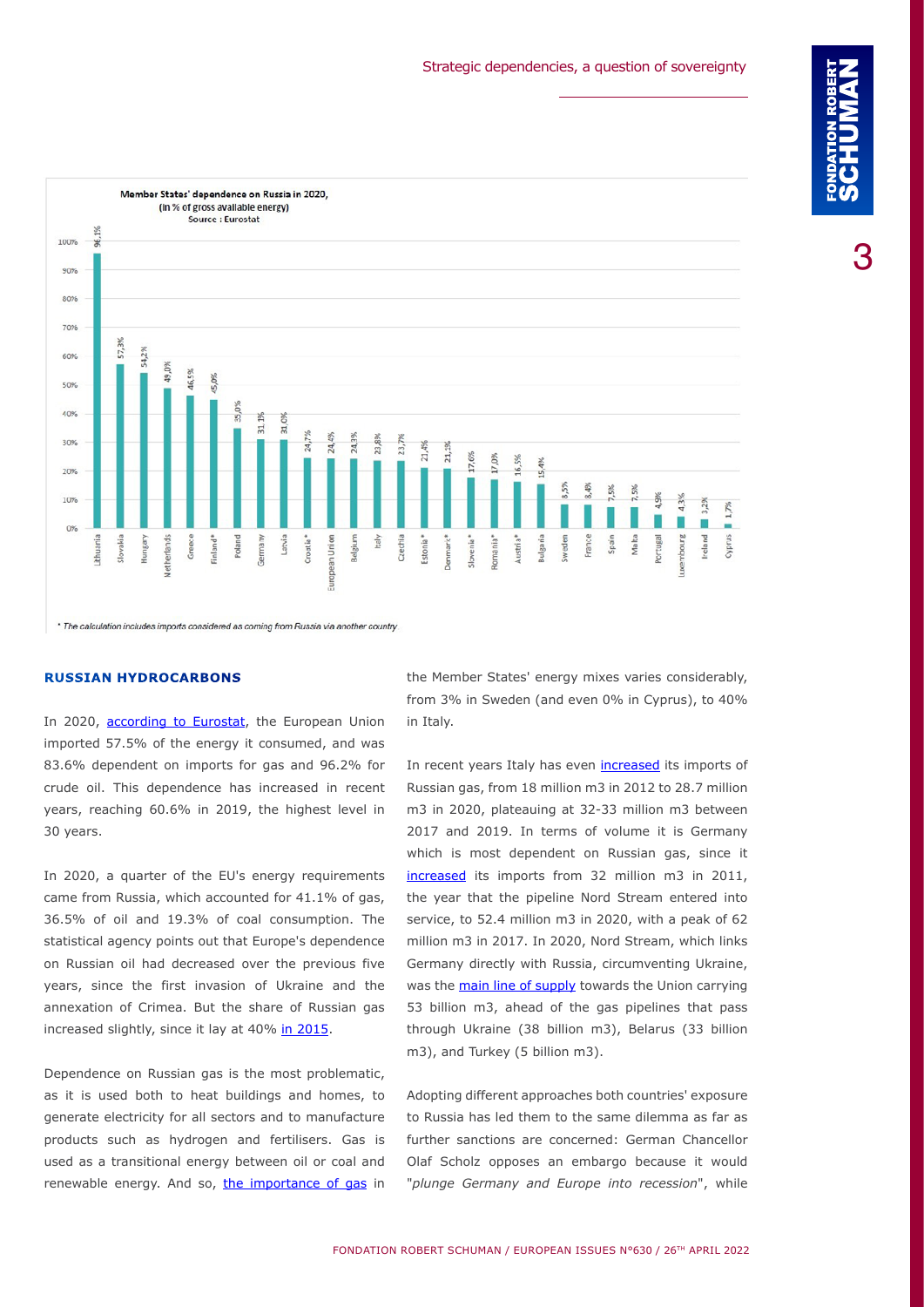FONDATION ROBERT SCHUMAN / EUROPEAN ISSUES N°630 / 26TH APRIL 2022



#### **RUSSIAN HYDROCARBONS**

In 2020, [according to Eurostat,](https://ec.europa.eu/eurostat/documents/1001617/14414828/Webinar-Energy-Statistics_EU-Energy-Dependency-on-Russia.pptx/f69d7a6d-a334-52cf-aba1-583e49d3fc97?t=1647010651844) the European Union imported 57.5% of the energy it consumed, and was 83.6% dependent on imports for gas and 96.2% for crude oil. This dependence has increased in recent years, reaching 60.6% in 2019, the highest level in 30 years.

In 2020, a quarter of the EU's energy requirements came from Russia, which accounted for 41.1% of gas, 36.5% of oil and 19.3% of coal consumption. The statistical agency points out that Europe's dependence on Russian oil had decreased over the previous five years, since the first invasion of Ukraine and the annexation of Crimea. But the share of Russian gas increased slightly, since it lay at 40% [in 2015.](https://ec.europa.eu/energy/sites/ener/files/documents/quarterly_report_on_european_gas_markets_q4_2015-q1_2016.pdf)

Dependence on Russian gas is the most problematic, as it is used both to heat buildings and homes, to generate electricity for all sectors and to manufacture products such as hydrogen and fertilisers. Gas is used as a transitional energy between oil or coal and renewable energy. And so, [the importance of gas](https://ec.europa.eu/eurostat/documents/4187653/13722723/Energy+mix+import+dependency.PNG/3a2ce81d-c7e5-1bf6-f00e-b52a7900d421?t=1650361770107) in

the Member States' energy mixes varies considerably, from 3% in Sweden (and even 0% in Cyprus), to 40% in Italy.

In recent years Italy has even [increased](https://ec.europa.eu/eurostat/cache/infographs/energy_trade/entrade.html?geo=DE&year=2020&language=EN&trade=imp&siec=G3000&filter=all&fuel=gas&unit=TJ_GCV&defaultUnit=TJ_GCV&detail=1&chart=) its imports of Russian gas, from 18 million m3 in 2012 to 28.7 million m3 in 2020, plateauing at 32-33 million m3 between 2017 and 2019. In terms of volume it is Germany which is most dependent on Russian gas, since it [increased](https://ec.europa.eu/eurostat/cache/infographs/energy_trade/entrade.html?geo=DE&year=2020&language=FR&trade=imp&siec=G3000&filter=all&fuel=gas&unit=TJ_GCV&defaultUnit=TJ_GCV&detail=1&chart=) its imports from 32 million m3 in 2011, the year that the pipeline Nord Stream entered into service, to 52.4 million m3 in 2020, with a peak of 62 million m3 in 2017. In 2020, Nord Stream, which links Germany directly with Russia, circumventing Ukraine, was the [main line of supply](https://ec.europa.eu/energy/sites/default/files/quarterly_report_on_european_gas_markets_q4_2020_final.pdf) towards the Union carrying 53 billion m3, ahead of the gas pipelines that pass through Ukraine (38 billion m3), Belarus (33 billion m3), and Turkey (5 billion m3).

Adopting different approaches both countries' exposure to Russia has led them to the same dilemma as far as further sanctions are concerned: German Chancellor Olaf Scholz opposes an embargo because it would "*plunge Germany and Europe into recession*", while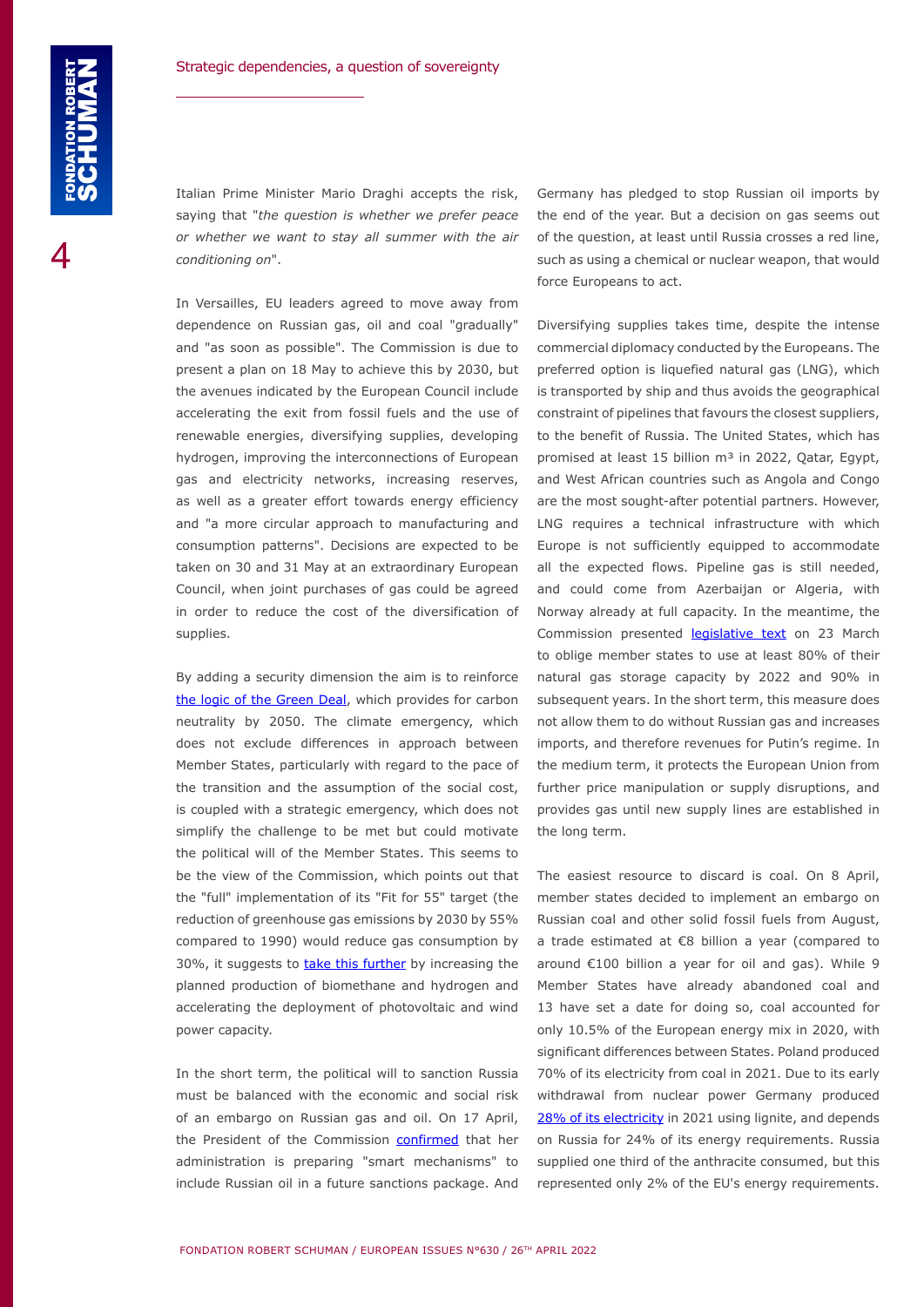Italian Prime Minister Mario Draghi accepts the risk, saying that "*the question is whether we prefer peace or whether we want to stay all summer with the air conditioning on*".

In Versailles, EU leaders agreed to move away from dependence on Russian gas, oil and coal "gradually" and "as soon as possible". The Commission is due to present a plan on 18 May to achieve this by 2030, but the avenues indicated by the European Council include accelerating the exit from fossil fuels and the use of renewable energies, diversifying supplies, developing hydrogen, improving the interconnections of European gas and electricity networks, increasing reserves, as well as a greater effort towards energy efficiency and "a more circular approach to manufacturing and consumption patterns". Decisions are expected to be taken on 30 and 31 May at an extraordinary European Council, when joint purchases of gas could be agreed in order to reduce the cost of the diversification of supplies.

By adding a security dimension the aim is to reinforce [the logic of the Green Deal](https://www.robert-schuman.eu/en/doc/questions-d-europe/qe-628-en.pdf), which provides for carbon neutrality by 2050. The climate emergency, which does not exclude differences in approach between Member States, particularly with regard to the pace of the transition and the assumption of the social cost, is coupled with a strategic emergency, which does not simplify the challenge to be met but could motivate the political will of the Member States. This seems to be the view of the Commission, which points out that the "full" implementation of its "Fit for 55" target (the reduction of greenhouse gas emissions by 2030 by 55% compared to 1990) would reduce gas consumption by 30%, it suggests to [take this further](https://energy.ec.europa.eu/system/files/2022-03/REPowerEU_Communication_with_Annexes_EN.pdf) by increasing the planned production of biomethane and hydrogen and accelerating the deployment of photovoltaic and wind power capacity.

In the short term, the political will to sanction Russia must be balanced with the economic and social risk of an embargo on Russian gas and oil. On 17 April, the President of the Commission [confirmed](https://www.bild.de/politik/inland/politik-inland/ursula-von-der-leyen-russlands-bankrott-ist-nur-eine-frage-der-zeit-79793356.bild.html) that her administration is preparing "smart mechanisms" to include Russian oil in a future sanctions package. And

Germany has pledged to stop Russian oil imports by the end of the year. But a decision on gas seems out of the question, at least until Russia crosses a red line, such as using a chemical or nuclear weapon, that would force Europeans to act.

Diversifying supplies takes time, despite the intense commercial diplomacy conducted by the Europeans. The preferred option is liquefied natural gas (LNG), which is transported by ship and thus avoids the geographical constraint of pipelines that favours the closest suppliers, to the benefit of Russia. The United States, which has promised at least 15 billion m<sup>3</sup> in 2022, Qatar, Egypt, and West African countries such as Angola and Congo are the most sought-after potential partners. However, LNG requires a technical infrastructure with which Europe is not sufficiently equipped to accommodate all the expected flows. Pipeline gas is still needed, and could come from Azerbaijan or Algeria, with Norway already at full capacity. In the meantime, the Commission presented **legislative text** on 23 March to oblige member states to use at least 80% of their natural gas storage capacity by 2022 and 90% in subsequent years. In the short term, this measure does not allow them to do without Russian gas and increases imports, and therefore revenues for Putin's regime. In the medium term, it protects the European Union from further price manipulation or supply disruptions, and provides gas until new supply lines are established in the long term.

The easiest resource to discard is coal. On 8 April, member states decided to implement an embargo on Russian coal and other solid fossil fuels from August, a trade estimated at €8 billion a year (compared to around €100 billion a year for oil and gas). While 9 Member States have already abandoned coal and 13 have set a date for doing so, coal accounted for only 10.5% of the European energy mix in 2020, with significant differences between States. Poland produced 70% of its electricity from coal in 2021. Due to its early withdrawal from nuclear power Germany produced [28% of its electricity](https://www.statista.com/statistics/736640/energy-mix-germany/) in 2021 using lignite, and depends on Russia for 24% of its energy requirements. Russia supplied one third of the anthracite consumed, but this represented only 2% of the EU's energy requirements.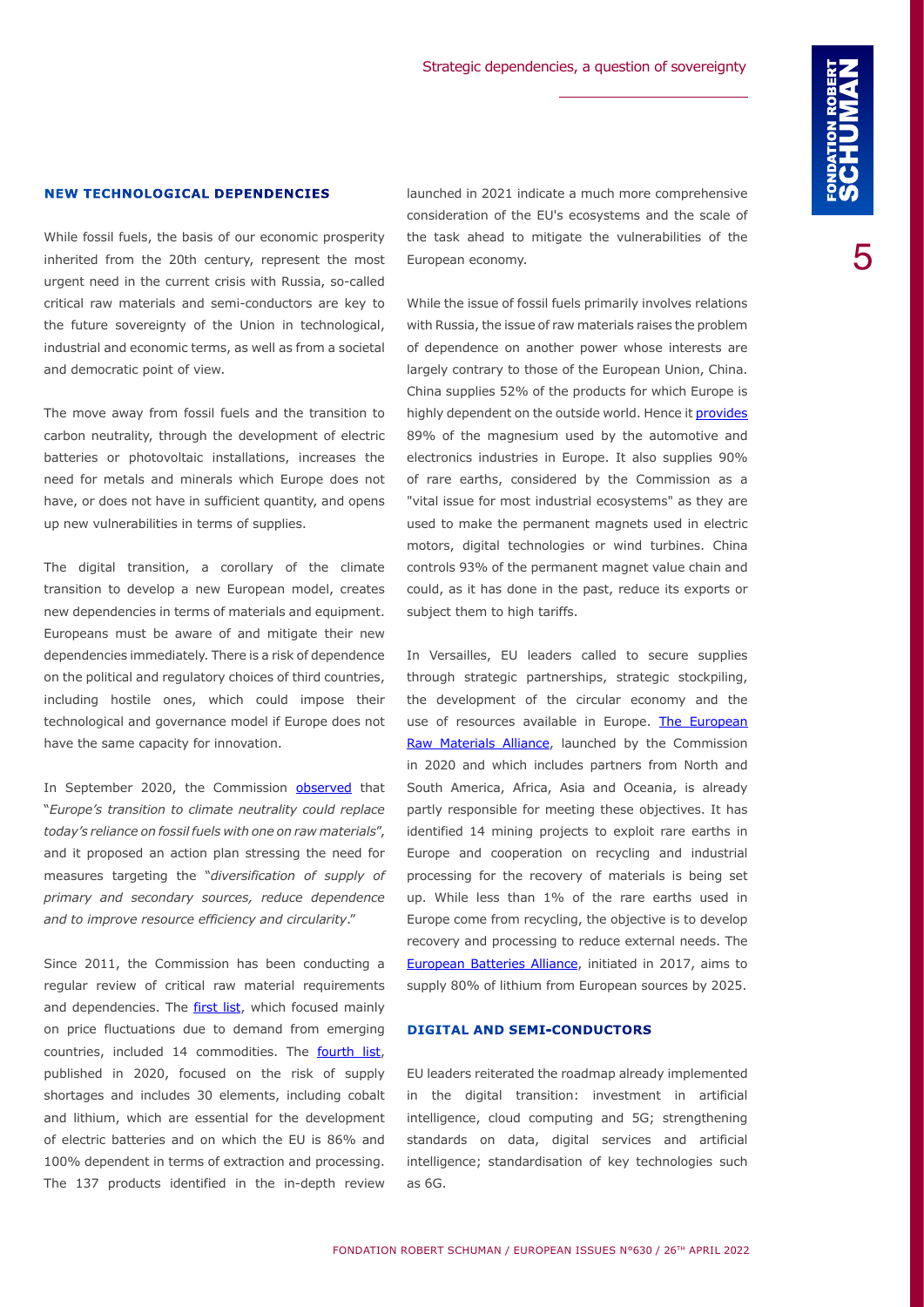### **NEW TECHNOLOGICAL DEPENDENCIES**

While fossil fuels, the basis of our economic prosperity inherited from the 20th century, represent the most urgent need in the current crisis with Russia, so-called critical raw materials and semi-conductors are key to the future sovereignty of the Union in technological, industrial and economic terms, as well as from a societal and democratic point of view.

The move away from fossil fuels and the transition to carbon neutrality, through the development of electric batteries or photovoltaic installations, increases the need for metals and minerals which Europe does not have, or does not have in sufficient quantity, and opens up new vulnerabilities in terms of supplies.

The digital transition, a corollary of the climate transition to develop a new European model, creates new dependencies in terms of materials and equipment. Europeans must be aware of and mitigate their new dependencies immediately. There is a risk of dependence on the political and regulatory choices of third countries, including hostile ones, which could impose their technological and governance model if Europe does not have the same capacity for innovation.

In September 2020, the Commission [observed](https://eur-lex.europa.eu/legal-content/EN/TXT/?uri=CELEX:52020DC0474) that "*Europe's transition to climate neutrality could replace today's reliance on fossil fuels with one on raw materials*", and it proposed an action plan stressing the need for measures targeting the "*diversification of supply of primary and secondary sources, reduce dependence and to improve resource efficiency and circularity*."

Since 2011, the Commission has been conducting a regular review of critical raw material requirements and dependencies. The [first list](https://eur-lex.europa.eu/legal-content/EN/TXT/PDF/?uri=CELEX:52011DC0025&from=EN), which focused mainly on price fluctuations due to demand from emerging countries, included 14 commodities. The **[fourth list](https://eur-lex.europa.eu/legal-content/EN/TXT/PDF/?uri=CELEX:52020DC0474)**, published in 2020, focused on the risk of supply shortages and includes 30 elements, including cobalt and lithium, which are essential for the development of electric batteries and on which the EU is 86% and 100% dependent in terms of extraction and processing. The 137 products identified in the in-depth review

launched in 2021 indicate a much more comprehensive consideration of the EU's ecosystems and the scale of the task ahead to mitigate the vulnerabilities of the European economy.

While the issue of fossil fuels primarily involves relations with Russia, the issue of raw materials raises the problem of dependence on another power whose interests are largely contrary to those of the European Union, China. China supplies 52% of the products for which Europe is highly dependent on the outside world. Hence it [provides](https://ec.europa.eu/docsroom/documents/48878/attachments/2/translations/en/renditions/native) 89% of the magnesium used by the automotive and electronics industries in Europe. It also supplies 90% of rare earths, considered by the Commission as a "vital issue for most industrial ecosystems" as they are used to make the permanent magnets used in electric motors, digital technologies or wind turbines. China controls 93% of the permanent magnet value chain and could, as it has done in the past, reduce its exports or subject them to high tariffs.

In Versailles, EU leaders called to secure supplies through strategic partnerships, strategic stockpiling, the development of the circular economy and the use of resources available in Europe. The European [Raw Materials Alliance](https://erma.eu/), launched by the Commission in 2020 and which includes partners from North and South America, Africa, Asia and Oceania, is already partly responsible for meeting these objectives. It has identified 14 mining projects to exploit rare earths in Europe and cooperation on recycling and industrial processing for the recovery of materials is being set up. While less than 1% of the rare earths used in Europe come from recycling, the objective is to develop recovery and processing to reduce external needs. The [European Batteries Alliance](https://www.eba250.com/), initiated in 2017, aims to supply 80% of lithium from European sources by 2025.

#### **DIGITAL AND SEMI-CONDUCTORS**

EU leaders reiterated the roadmap already implemented in the digital transition: investment in artificial intelligence, cloud computing and 5G; strengthening standards on data, digital services and artificial intelligence; standardisation of key technologies such as 6G.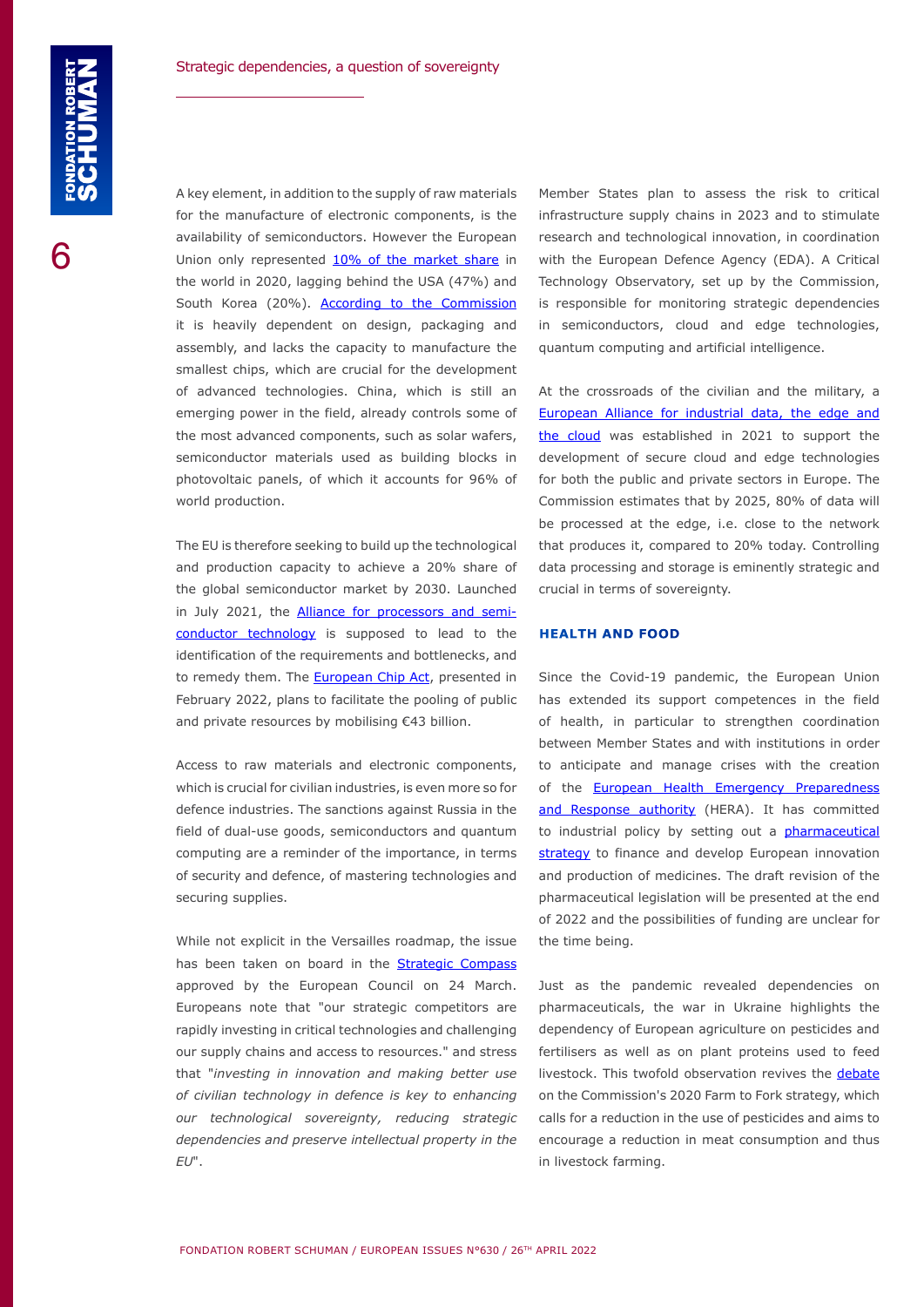A key element, in addition to the supply of raw materials for the manufacture of electronic components, is the availability of semiconductors. However the European Union only represented [10% of the market share](https://www.semiconductors.org/wp-content/uploads/2021/05/2021-SIA-Factbook-FINAL1.pdf) in the world in 2020, lagging behind the USA (47%) and South Korea (20%). [According to the Commission](https://digital-strategy.ec.europa.eu/en/policies/alliance-processors-and-semiconductor-technologies) it is heavily dependent on design, packaging and assembly, and lacks the capacity to manufacture the smallest chips, which are crucial for the development of advanced technologies. China, which is still an emerging power in the field, already controls some of the most advanced components, such as solar wafers, semiconductor materials used as building blocks in photovoltaic panels, of which it accounts for 96% of world production.

The EU is therefore seeking to build up the technological and production capacity to achieve a 20% share of the global semiconductor market by 2030. Launched in July 2021, the **[Alliance for processors and semi](https://digital-strategy.ec.europa.eu/en/policies/alliance-processors-and-semiconductor-technologies)**[conductor technology](https://digital-strategy.ec.europa.eu/en/policies/alliance-processors-and-semiconductor-technologies) is supposed to lead to the identification of the requirements and bottlenecks, and to remedy them. The **European Chip Act**, presented in February 2022, plans to facilitate the pooling of public and private resources by mobilising €43 billion.

Access to raw materials and electronic components, which is crucial for civilian industries, is even more so for defence industries. The sanctions against Russia in the field of dual-use goods, semiconductors and quantum computing are a reminder of the importance, in terms of security and defence, of mastering technologies and securing supplies.

While not explicit in the Versailles roadmap, the issue has been taken on board in the [Strategic Compass](https://data.consilium.europa.eu/doc/document/ST-7371-2022-INIT/en/pdf) approved by the European Council on 24 March. Europeans note that "our strategic competitors are rapidly investing in critical technologies and challenging our supply chains and access to resources." and stress that "*investing in innovation and making better use of civilian technology in defence is key to enhancing our technological sovereignty, reducing strategic dependencies and preserve intellectual property in the EU*".

Member States plan to assess the risk to critical infrastructure supply chains in 2023 and to stimulate research and technological innovation, in coordination with the European Defence Agency (EDA). A Critical Technology Observatory, set up by the Commission, is responsible for monitoring strategic dependencies in semiconductors, cloud and edge technologies, quantum computing and artificial intelligence.

At the crossroads of the civilian and the military, a [European Alliance for industrial data, the edge and](https://digital-strategy.ec.europa.eu/en/policies/cloud-alliance)  [the cloud](https://digital-strategy.ec.europa.eu/en/policies/cloud-alliance) was established in 2021 to support the development of secure cloud and edge technologies for both the public and private sectors in Europe. The Commission estimates that by 2025, 80% of data will be processed at the edge, i.e. close to the network that produces it, compared to 20% today. Controlling data processing and storage is eminently strategic and crucial in terms of sovereignty.

#### **HEALTH AND FOOD**

Since the Covid-19 pandemic, the European Union has extended its support competences in the field of health, in particular to strengthen coordination between Member States and with institutions in order to anticipate and manage crises with the creation of the **European Health Emergency Preparedness** [and Response authority](https://ec.europa.eu/health/health-emergency-preparedness-and-response-hera/overview_en) (HERA). It has committed to industrial policy by setting out a **pharmaceutical** [strategy](https://ec.europa.eu/health/medicinal-products/pharmaceutical-strategy-europe_en) to finance and develop European innovation and production of medicines. The draft revision of the pharmaceutical legislation will be presented at the end of 2022 and the possibilities of funding are unclear for the time being.

Just as the pandemic revealed dependencies on pharmaceuticals, the war in Ukraine highlights the dependency of European agriculture on pesticides and fertilisers as well as on plant proteins used to feed livestock. This twofold observation revives the [debate](https://www.robert-schuman.eu/en/doc/questions-d-europe/qe-627-en.pdf) on the Commission's 2020 Farm to Fork strategy, which calls for a reduction in the use of pesticides and aims to encourage a reduction in meat consumption and thus in livestock farming.